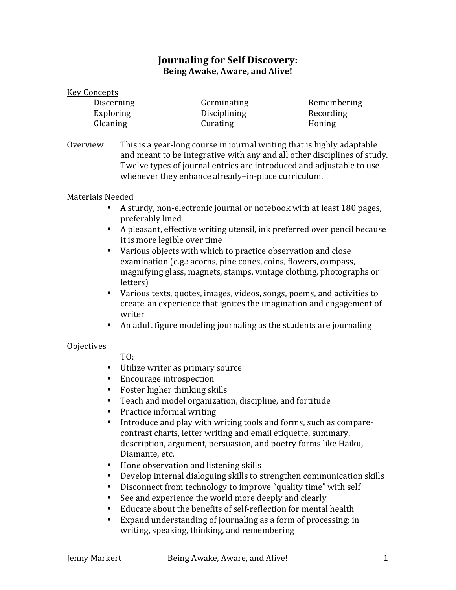# **Journaling for Self Discovery: Being Awake, Aware, and Alive!**

#### Key Concepts

Exploring Disciplining Recording Gleaning Curating Curating Honing

Discerning Germinating Remembering

Overview This is a year-long course in journal writing that is highly adaptable and meant to be integrative with any and all other disciplines of study. Twelve types of journal entries are introduced and adjustable to use whenever they enhance already-in-place curriculum.

# Materials Needed

- A sturdy, non-electronic journal or notebook with at least 180 pages, preferably lined
- A pleasant, effective writing utensil, ink preferred over pencil because it is more legible over time
- Various objects with which to practice observation and close examination (e.g.: acorns, pine cones, coins, flowers, compass, magnifying glass, magnets, stamps, vintage clothing, photographs or letters)
- Various texts, quotes, images, videos, songs, poems, and activities to create an experience that ignites the imagination and engagement of writer
- An adult figure modeling journaling as the students are journaling

## **Objectives**

 TO:

- Utilize writer as primary source
- Encourage introspection
- Foster higher thinking skills
- Teach and model organization, discipline, and fortitude
- Practice informal writing
- Introduce and play with writing tools and forms, such as comparecontrast charts, letter writing and email etiquette, summary, description, argument, persuasion, and poetry forms like Haiku, Diamante, etc.
- Hone observation and listening skills
- Develop internal dialoguing skills to strengthen communication skills
- Disconnect from technology to improve "quality time" with self
- See and experience the world more deeply and clearly
- Educate about the benefits of self-reflection for mental health
- Expand understanding of journaling as a form of processing: in writing, speaking, thinking, and remembering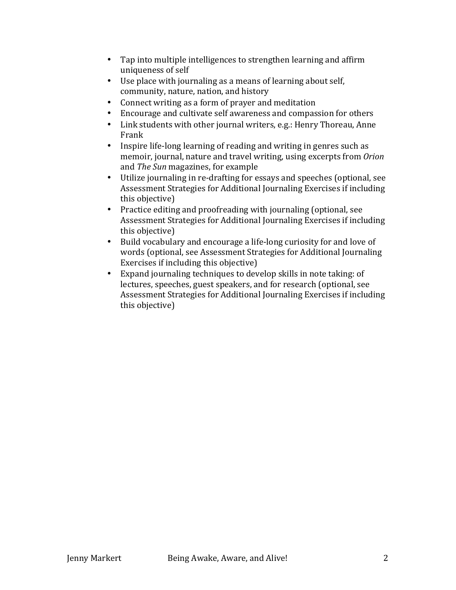- Tap into multiple intelligences to strengthen learning and affirm uniqueness of self
- Use place with journaling as a means of learning about self, community, nature, nation, and history
- Connect writing as a form of prayer and meditation
- Encourage and cultivate self awareness and compassion for others
- Link students with other journal writers, e.g.: Henry Thoreau, Anne Frank
- Inspire life-long learning of reading and writing in genres such as memoir, journal, nature and travel writing, using excerpts from *Orion* and *The Sun* magazines, for example
- Utilize journaling in re-drafting for essays and speeches (optional, see Assessment Strategies for Additional Journaling Exercises if including this objective)
- Practice editing and proofreading with journaling (optional, see Assessment Strategies for Additional Journaling Exercises if including this objective)
- Build vocabulary and encourage a life-long curiosity for and love of words (optional, see Assessment Strategies for Additional Journaling Exercises if including this objective)
- Expand journaling techniques to develop skills in note taking: of lectures, speeches, guest speakers, and for research (optional, see Assessment Strategies for Additional Journaling Exercises if including this objective)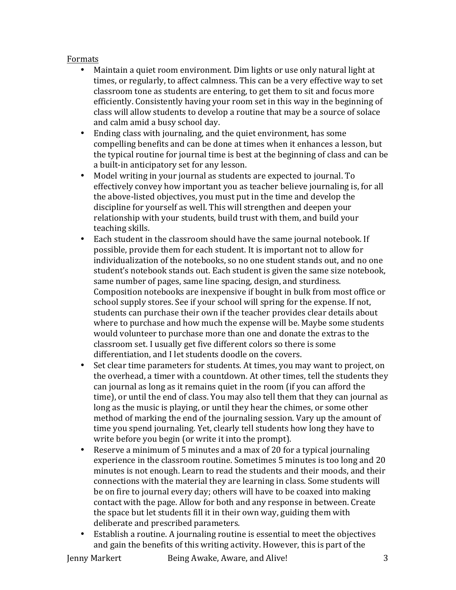## Formats

- Maintain a quiet room environment. Dim lights or use only natural light at times, or regularly, to affect calmness. This can be a very effective way to set classroom tone as students are entering, to get them to sit and focus more efficiently. Consistently having your room set in this way in the beginning of class will allow students to develop a routine that may be a source of solace and calm amid a busy school day.
- Ending class with journaling, and the quiet environment, has some compelling benefits and can be done at times when it enhances a lesson, but the typical routine for journal time is best at the beginning of class and can be a built-in anticipatory set for any lesson.
- Model writing in your journal as students are expected to journal. To effectively convey how important you as teacher believe journaling is, for all the above-listed objectives, you must put in the time and develop the discipline for yourself as well. This will strengthen and deepen your relationship with your students, build trust with them, and build your teaching skills.
- Each student in the classroom should have the same journal notebook. If possible, provide them for each student. It is important not to allow for individualization of the notebooks, so no one student stands out, and no one student's notebook stands out. Each student is given the same size notebook, same number of pages, same line spacing, design, and sturdiness. Composition notebooks are inexpensive if bought in bulk from most office or school supply stores. See if your school will spring for the expense. If not, students can purchase their own if the teacher provides clear details about where to purchase and how much the expense will be. Maybe some students would volunteer to purchase more than one and donate the extras to the classroom set. I usually get five different colors so there is some differentiation, and I let students doodle on the covers.
- Set clear time parameters for students. At times, you may want to project, on the overhead, a timer with a countdown. At other times, tell the students they can journal as long as it remains quiet in the room (if you can afford the time), or until the end of class. You may also tell them that they can journal as long as the music is playing, or until they hear the chimes, or some other method of marking the end of the journaling session. Vary up the amount of time you spend journaling. Yet, clearly tell students how long they have to write before you begin (or write it into the prompt).
- Reserve a minimum of 5 minutes and a max of 20 for a typical journaling experience in the classroom routine. Sometimes 5 minutes is too long and 20 minutes is not enough. Learn to read the students and their moods, and their connections with the material they are learning in class. Some students will be on fire to journal every day; others will have to be coaxed into making contact with the page. Allow for both and any response in between. Create the space but let students fill it in their own way, guiding them with deliberate and prescribed parameters.
- Establish a routine. A journaling routine is essential to meet the objectives and gain the benefits of this writing activity. However, this is part of the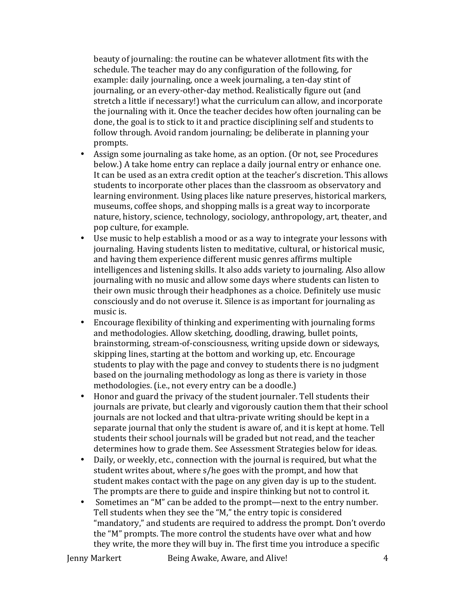beauty of journaling: the routine can be whatever allotment fits with the schedule. The teacher may do any configuration of the following, for example: daily journaling, once a week journaling, a ten-day stint of journaling, or an every-other-day method. Realistically figure out (and stretch a little if necessary!) what the curriculum can allow, and incorporate the journaling with it. Once the teacher decides how often journaling can be done, the goal is to stick to it and practice disciplining self and students to follow through. Avoid random journaling; be deliberate in planning your prompts.

- Assign some journaling as take home, as an option. (Or not, see Procedures below.) A take home entry can replace a daily journal entry or enhance one. It can be used as an extra credit option at the teacher's discretion. This allows students to incorporate other places than the classroom as observatory and learning environment. Using places like nature preserves, historical markers, museums, coffee shops, and shopping malls is a great way to incorporate nature, history, science, technology, sociology, anthropology, art, theater, and pop culture, for example.
- Use music to help establish a mood or as a way to integrate your lessons with journaling. Having students listen to meditative, cultural, or historical music, and having them experience different music genres affirms multiple intelligences and listening skills. It also adds variety to journaling. Also allow journaling with no music and allow some days where students can listen to their own music through their headphones as a choice. Definitely use music consciously and do not overuse it. Silence is as important for journaling as music is.
- Encourage flexibility of thinking and experimenting with journaling forms and methodologies. Allow sketching, doodling, drawing, bullet points, brainstorming, stream-of-consciousness, writing upside down or sideways, skipping lines, starting at the bottom and working up, etc. Encourage students to play with the page and convey to students there is no judgment based on the journaling methodology as long as there is variety in those methodologies. (i.e., not every entry can be a doodle.)
- Honor and guard the privacy of the student journaler. Tell students their journals are private, but clearly and vigorously caution them that their school journals are not locked and that ultra-private writing should be kept in a separate journal that only the student is aware of, and it is kept at home. Tell students their school journals will be graded but not read, and the teacher determines how to grade them. See Assessment Strategies below for ideas.
- Daily, or weekly, etc., connection with the journal is required, but what the student writes about, where s/he goes with the prompt, and how that student makes contact with the page on any given day is up to the student. The prompts are there to guide and inspire thinking but not to control it.
- Sometimes an "M" can be added to the prompt—next to the entry number. Tell students when they see the "M," the entry topic is considered "mandatory," and students are required to address the prompt. Don't overdo the "M" prompts. The more control the students have over what and how they write, the more they will buy in. The first time you introduce a specific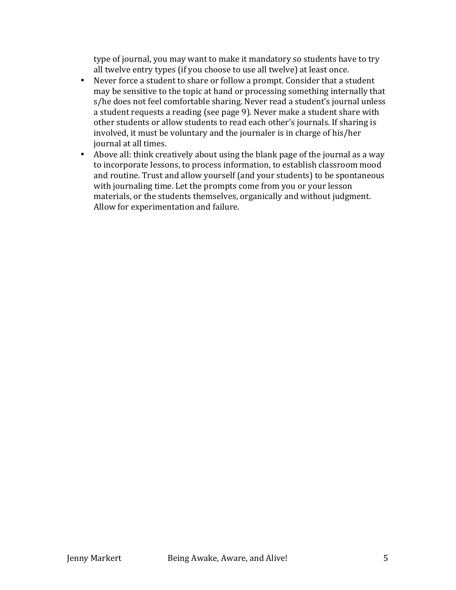type of journal, you may want to make it mandatory so students have to try all twelve entry types (if you choose to use all twelve) at least once.

- Never force a student to share or follow a prompt. Consider that a student may be sensitive to the topic at hand or processing something internally that s/he does not feel comfortable sharing. Never read a student's journal unless a student requests a reading (see page 9). Never make a student share with other students or allow students to read each other's journals. If sharing is involved, it must be voluntary and the journaler is in charge of his/her journal at all times.
- Above all: think creatively about using the blank page of the journal as a way to incorporate lessons, to process information, to establish classroom mood and routine. Trust and allow yourself (and your students) to be spontaneous with journaling time. Let the prompts come from you or your lesson materials, or the students themselves, organically and without judgment. Allow for experimentation and failure.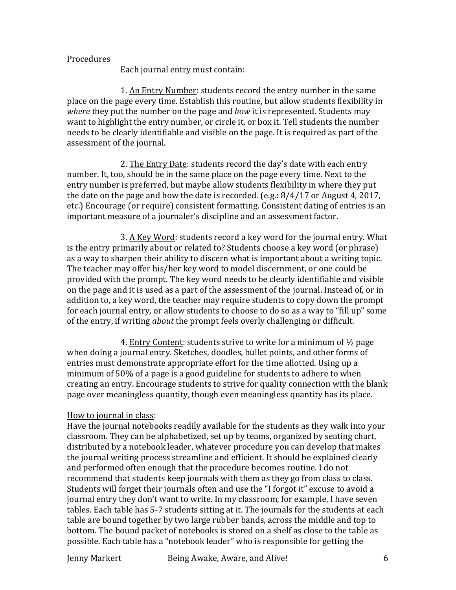#### Procedures

Each journal entry must contain:

1. An Entry Number: students record the entry number in the same place on the page every time. Establish this routine, but allow students flexibility in *where* they put the number on the page and *how* it is represented. Students may want to highlight the entry number, or circle it, or box it. Tell students the number needs to be clearly identifiable and visible on the page. It is required as part of the assessment of the journal.

2. The Entry Date: students record the day's date with each entry number. It, too, should be in the same place on the page every time. Next to the entry number is preferred, but maybe allow students flexibility in where they put the date on the page and how the date is recorded. (e.g.:  $8/4/17$  or August 4, 2017, etc.) Encourage (or require) consistent formatting. Consistent dating of entries is an important measure of a journaler's discipline and an assessment factor.

3. A Key Word: students record a key word for the journal entry. What is the entry primarily about or related to? Students choose a key word (or phrase) as a way to sharpen their ability to discern what is important about a writing topic. The teacher may offer his/her key word to model discernment, or one could be provided with the prompt. The key word needs to be clearly identifiable and visible on the page and it is used as a part of the assessment of the journal. Instead of, or in addition to, a key word, the teacher may require students to copy down the prompt for each journal entry, or allow students to choose to do so as a way to "fill up" some of the entry, if writing *about* the prompt feels overly challenging or difficult.

4. Entry Content: students strive to write for a minimum of  $\frac{1}{2}$  page when doing a journal entry. Sketches, doodles, bullet points, and other forms of entries must demonstrate appropriate effort for the time allotted. Using up a minimum of 50% of a page is a good guideline for students to adhere to when creating an entry. Encourage students to strive for quality connection with the blank page over meaningless quantity, though even meaningless quantity has its place.

## How to journal in class:

Have the journal notebooks readily available for the students as they walk into your classroom. They can be alphabetized, set up by teams, organized by seating chart, distributed by a notebook leader, whatever procedure you can develop that makes the journal writing process streamline and efficient. It should be explained clearly and performed often enough that the procedure becomes routine. I do not recommend that students keep journals with them as they go from class to class. Students will forget their journals often and use the "I forgot it" excuse to avoid a journal entry they don't want to write. In my classroom, for example, I have seven tables. Each table has 5-7 students sitting at it. The journals for the students at each table are bound together by two large rubber bands, across the middle and top to bottom. The bound packet of notebooks is stored on a shelf as close to the table as possible. Each table has a "notebook leader" who is responsible for getting the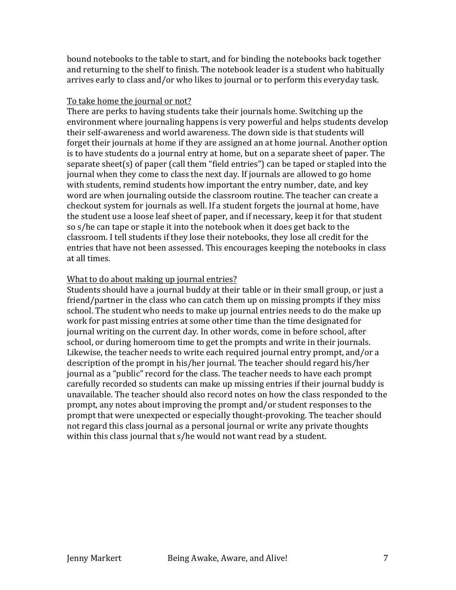bound notebooks to the table to start, and for binding the notebooks back together and returning to the shelf to finish. The notebook leader is a student who habitually arrives early to class and/or who likes to journal or to perform this everyday task.

## To take home the journal or not?

There are perks to having students take their journals home. Switching up the environment where journaling happens is very powerful and helps students develop their self-awareness and world awareness. The down side is that students will forget their journals at home if they are assigned an at home journal. Another option is to have students do a journal entry at home, but on a separate sheet of paper. The separate sheet(s) of paper (call them "field entries") can be taped or stapled into the journal when they come to class the next day. If journals are allowed to go home with students, remind students how important the entry number, date, and key word are when journaling outside the classroom routine. The teacher can create a checkout system for journals as well. If a student forgets the journal at home, have the student use a loose leaf sheet of paper, and if necessary, keep it for that student so s/he can tape or staple it into the notebook when it does get back to the classroom. I tell students if they lose their notebooks, they lose all credit for the entries that have not been assessed. This encourages keeping the notebooks in class at all times.

# What to do about making up journal entries?

Students should have a journal buddy at their table or in their small group, or just a friend/partner in the class who can catch them up on missing prompts if they miss school. The student who needs to make up journal entries needs to do the make up work for past missing entries at some other time than the time designated for journal writing on the current day. In other words, come in before school, after school, or during homeroom time to get the prompts and write in their journals. Likewise, the teacher needs to write each required journal entry prompt, and/or a description of the prompt in his/her journal. The teacher should regard his/her journal as a "public" record for the class. The teacher needs to have each prompt carefully recorded so students can make up missing entries if their journal buddy is unavailable. The teacher should also record notes on how the class responded to the prompt, any notes about improving the prompt and/or student responses to the prompt that were unexpected or especially thought-provoking. The teacher should not regard this class journal as a personal journal or write any private thoughts within this class journal that  $s/h$ e would not want read by a student.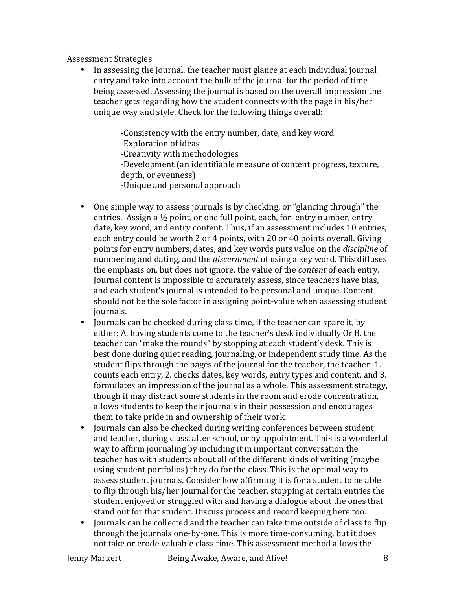#### Assessment Strategies

In assessing the journal, the teacher must glance at each individual journal entry and take into account the bulk of the journal for the period of time being assessed. Assessing the journal is based on the overall impression the teacher gets regarding how the student connects with the page in his/her unique way and style. Check for the following things overall:

-Consistency with the entry number, date, and key word

-Exploration of ideas

-Creativity with methodologies

-Development (an identifiable measure of content progress, texture, depth, or evenness)

-Unique and personal approach

- One simple way to assess journals is by checking, or "glancing through" the entries. Assign a  $\frac{1}{2}$  point, or one full point, each, for: entry number, entry date, key word, and entry content. Thus, if an assessment includes 10 entries, each entry could be worth 2 or 4 points, with 20 or 40 points overall. Giving points for entry numbers, dates, and key words puts value on the *discipline* of numbering and dating, and the *discernment* of using a key word. This diffuses the emphasis on, but does not ignore, the value of the *content* of each entry. Journal content is impossible to accurately assess, since teachers have bias, and each student's journal is intended to be personal and unique. Content should not be the sole factor in assigning point-value when assessing student journals.
- Journals can be checked during class time, if the teacher can spare it, by either: A. having students come to the teacher's desk individually Or B. the teacher can "make the rounds" by stopping at each student's desk. This is best done during quiet reading, journaling, or independent study time. As the student flips through the pages of the journal for the teacher, the teacher: 1. counts each entry, 2. checks dates, key words, entry types and content, and 3. formulates an impression of the journal as a whole. This assessment strategy, though it may distract some students in the room and erode concentration, allows students to keep their journals in their possession and encourages them to take pride in and ownership of their work.
- Journals can also be checked during writing conferences between student and teacher, during class, after school, or by appointment. This is a wonderful way to affirm journaling by including it in important conversation the teacher has with students about all of the different kinds of writing (maybe using student portfolios) they do for the class. This is the optimal way to assess student journals. Consider how affirming it is for a student to be able to flip through his/her journal for the teacher, stopping at certain entries the student enjoyed or struggled with and having a dialogue about the ones that stand out for that student. Discuss process and record keeping here too.
- Journals can be collected and the teacher can take time outside of class to flip through the journals one-by-one. This is more time-consuming, but it does not take or erode valuable class time. This assessment method allows the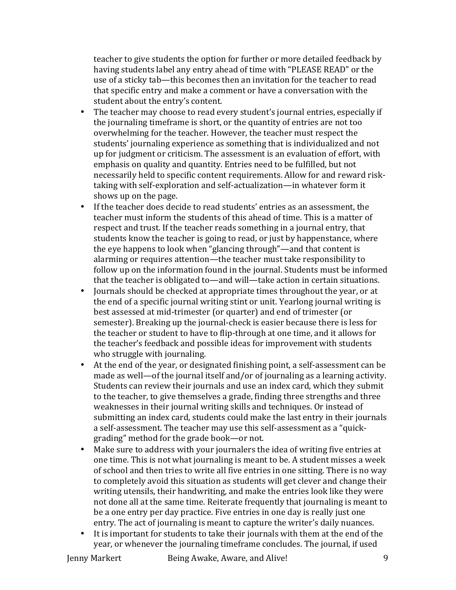teacher to give students the option for further or more detailed feedback by having students label any entry ahead of time with "PLEASE READ" or the use of a sticky tab—this becomes then an invitation for the teacher to read that specific entry and make a comment or have a conversation with the student about the entry's content.

- The teacher may choose to read every student's journal entries, especially if the journaling timeframe is short, or the quantity of entries are not too overwhelming for the teacher. However, the teacher must respect the students' journaling experience as something that is individualized and not up for judgment or criticism. The assessment is an evaluation of effort, with emphasis on quality and quantity. Entries need to be fulfilled, but not necessarily held to specific content requirements. Allow for and reward risktaking with self-exploration and self-actualization—in whatever form it shows up on the page.
- If the teacher does decide to read students' entries as an assessment, the teacher must inform the students of this ahead of time. This is a matter of respect and trust. If the teacher reads something in a journal entry, that students know the teacher is going to read, or just by happenstance, where the eye happens to look when "glancing through"—and that content is alarming or requires attention—the teacher must take responsibility to follow up on the information found in the journal. Students must be informed that the teacher is obligated to—and will—take action in certain situations.
- Iournals should be checked at appropriate times throughout the year, or at the end of a specific journal writing stint or unit. Yearlong journal writing is best assessed at mid-trimester (or quarter) and end of trimester (or semester). Breaking up the journal-check is easier because there is less for the teacher or student to have to flip-through at one time, and it allows for the teacher's feedback and possible ideas for improvement with students who struggle with journaling.
- At the end of the year, or designated finishing point, a self-assessment can be made as well—of the journal itself and/or of journaling as a learning activity. Students can review their journals and use an index card, which they submit to the teacher, to give themselves a grade, finding three strengths and three weaknesses in their journal writing skills and techniques. Or instead of submitting an index card, students could make the last entry in their journals a self-assessment. The teacher may use this self-assessment as a "quickgrading" method for the grade book—or not.
- Make sure to address with your journalers the idea of writing five entries at one time. This is not what journaling is meant to be. A student misses a week of school and then tries to write all five entries in one sitting. There is no way to completely avoid this situation as students will get clever and change their writing utensils, their handwriting, and make the entries look like they were not done all at the same time. Reiterate frequently that journaling is meant to be a one entry per day practice. Five entries in one day is really just one entry. The act of journaling is meant to capture the writer's daily nuances.
- It is important for students to take their journals with them at the end of the year, or whenever the journaling timeframe concludes. The journal, if used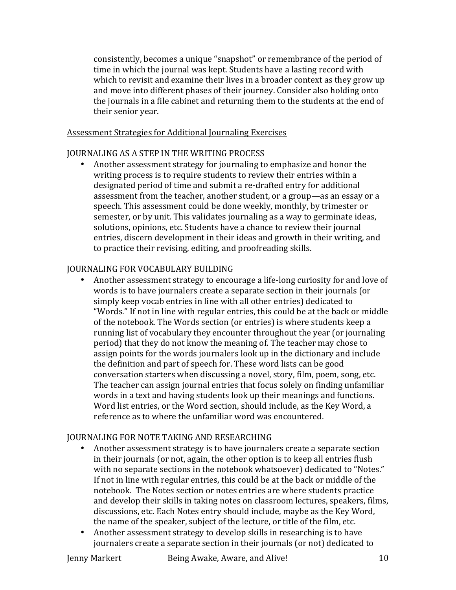consistently, becomes a unique "snapshot" or remembrance of the period of time in which the journal was kept. Students have a lasting record with which to revisit and examine their lives in a broader context as they grow up and move into different phases of their journey. Consider also holding onto the journals in a file cabinet and returning them to the students at the end of their senior vear.

#### Assessment Strategies for Additional Journaling Exercises

## **JOURNALING AS A STEP IN THE WRITING PROCESS**

Another assessment strategy for journaling to emphasize and honor the writing process is to require students to review their entries within a designated period of time and submit a re-drafted entry for additional assessment from the teacher, another student, or a group—as an essay or a speech. This assessment could be done weekly, monthly, by trimester or semester, or by unit. This validates journaling as a way to germinate ideas, solutions, opinions, etc. Students have a chance to review their journal entries, discern development in their ideas and growth in their writing, and to practice their revising, editing, and proofreading skills.

## JOURNALING FOR VOCABULARY BUILDING

• Another assessment strategy to encourage a life-long curiosity for and love of words is to have journalers create a separate section in their journals (or simply keep vocab entries in line with all other entries) dedicated to "Words." If not in line with regular entries, this could be at the back or middle of the notebook. The Words section (or entries) is where students keep a running list of vocabulary they encounter throughout the year (or journaling period) that they do not know the meaning of. The teacher may chose to assign points for the words journalers look up in the dictionary and include the definition and part of speech for. These word lists can be good conversation starters when discussing a novel, story, film, poem, song, etc. The teacher can assign journal entries that focus solely on finding unfamiliar words in a text and having students look up their meanings and functions. Word list entries, or the Word section, should include, as the Key Word, a reference as to where the unfamiliar word was encountered.

## **JOURNALING FOR NOTE TAKING AND RESEARCHING**

- Another assessment strategy is to have journalers create a separate section in their journals (or not, again, the other option is to keep all entries flush with no separate sections in the notebook whatsoever) dedicated to "Notes." If not in line with regular entries, this could be at the back or middle of the notebook. The Notes section or notes entries are where students practice and develop their skills in taking notes on classroom lectures, speakers, films, discussions, etc. Each Notes entry should include, maybe as the Key Word, the name of the speaker, subject of the lecture, or title of the film, etc.
- Another assessment strategy to develop skills in researching is to have journalers create a separate section in their journals (or not) dedicated to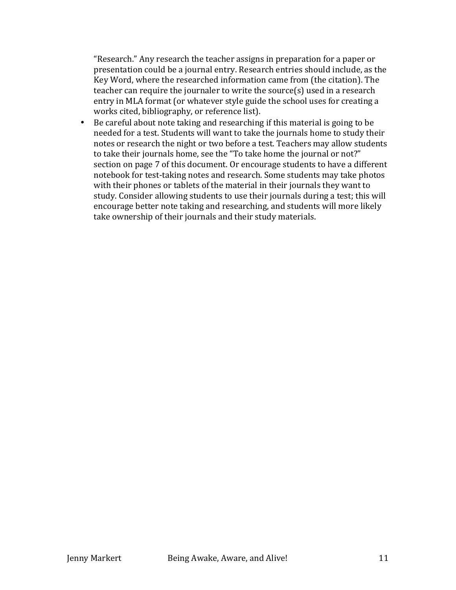"Research." Any research the teacher assigns in preparation for a paper or presentation could be a journal entry. Research entries should include, as the Key Word, where the researched information came from (the citation). The  $teacher can require the journaler to write the source(s) used in a research$ entry in MLA format (or whatever style guide the school uses for creating a works cited, bibliography, or reference list).

• Be careful about note taking and researching if this material is going to be needed for a test. Students will want to take the journals home to study their notes or research the night or two before a test. Teachers may allow students to take their journals home, see the "To take home the journal or not?" section on page 7 of this document. Or encourage students to have a different notebook for test-taking notes and research. Some students may take photos with their phones or tablets of the material in their journals they want to study. Consider allowing students to use their journals during a test; this will encourage better note taking and researching, and students will more likely take ownership of their journals and their study materials.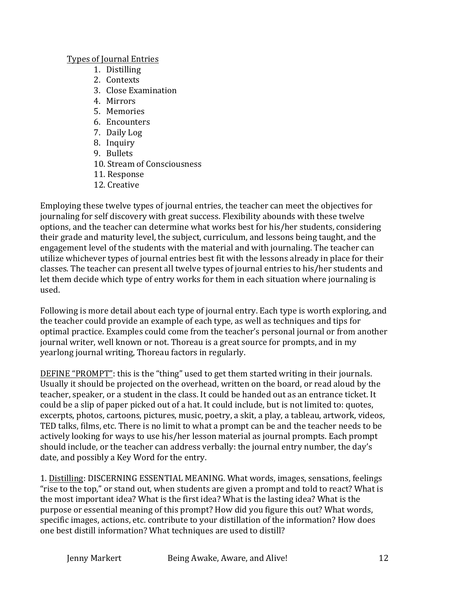## Types of Journal Entries

- 1. Distilling
- 2. Contexts
- 3. Close Examination
- 4 Mirrors
- 5. Memories
- 6. Encounters
- 7. Daily Log
- 8. Inquiry
- 9. Bullets
- 10. Stream of Consciousness
- 11. Response
- 12. Creative

Emploving these twelve types of journal entries, the teacher can meet the objectives for journaling for self discovery with great success. Flexibility abounds with these twelve options, and the teacher can determine what works best for his/her students, considering their grade and maturity level, the subject, curriculum, and lessons being taught, and the engagement level of the students with the material and with journaling. The teacher can utilize whichever types of journal entries best fit with the lessons already in place for their classes. The teacher can present all twelve types of journal entries to his/her students and let them decide which type of entry works for them in each situation where journaling is used. 

Following is more detail about each type of journal entry. Each type is worth exploring, and the teacher could provide an example of each type, as well as techniques and tips for optimal practice. Examples could come from the teacher's personal journal or from another journal writer, well known or not. Thoreau is a great source for prompts, and in my yearlong journal writing, Thoreau factors in regularly.

DEFINE "PROMPT": this is the "thing" used to get them started writing in their journals. Usually it should be projected on the overhead, written on the board, or read aloud by the teacher, speaker, or a student in the class. It could be handed out as an entrance ticket. It could be a slip of paper picked out of a hat. It could include, but is not limited to: quotes, excerpts, photos, cartoons, pictures, music, poetry, a skit, a play, a tableau, artwork, videos, TED talks, films, etc. There is no limit to what a prompt can be and the teacher needs to be actively looking for ways to use his/her lesson material as journal prompts. Each prompt should include, or the teacher can address verbally: the journal entry number, the day's date, and possibly a Key Word for the entry.

1. Distilling: DISCERNING ESSENTIAL MEANING. What words, images, sensations, feelings "rise to the top," or stand out, when students are given a prompt and told to react? What is the most important idea? What is the first idea? What is the lasting idea? What is the purpose or essential meaning of this prompt? How did you figure this out? What words, specific images, actions, etc. contribute to your distillation of the information? How does one best distill information? What techniques are used to distill?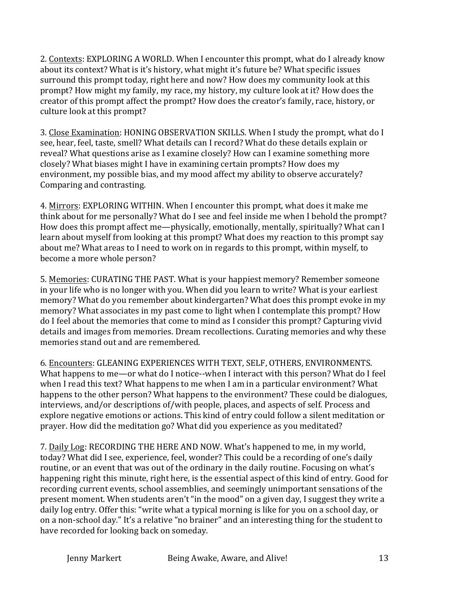2. Contexts: EXPLORING A WORLD. When I encounter this prompt, what do I already know about its context? What is it's history, what might it's future be? What specific issues surround this prompt today, right here and now? How does my community look at this prompt? How might my family, my race, my history, my culture look at it? How does the creator of this prompt affect the prompt? How does the creator's family, race, history, or culture look at this prompt?

3. Close Examination: HONING OBSERVATION SKILLS. When I study the prompt, what do I see, hear, feel, taste, smell? What details can I record? What do these details explain or reveal? What questions arise as I examine closely? How can I examine something more closely? What biases might I have in examining certain prompts? How does my environment, my possible bias, and my mood affect my ability to observe accurately? Comparing and contrasting.

4. Mirrors: EXPLORING WITHIN. When I encounter this prompt, what does it make me think about for me personally? What do I see and feel inside me when I behold the prompt? How does this prompt affect me—physically, emotionally, mentally, spiritually? What can I learn about myself from looking at this prompt? What does my reaction to this prompt say about me? What areas to I need to work on in regards to this prompt, within myself, to become a more whole person?

5. Memories: CURATING THE PAST. What is your happiest memory? Remember someone in your life who is no longer with you. When did you learn to write? What is your earliest memory? What do you remember about kindergarten? What does this prompt evoke in my memory? What associates in my past come to light when I contemplate this prompt? How do I feel about the memories that come to mind as I consider this prompt? Capturing vivid details and images from memories. Dream recollections. Curating memories and why these memories stand out and are remembered.

6. Encounters: GLEANING EXPERIENCES WITH TEXT, SELF, OTHERS, ENVIRONMENTS. What happens to me—or what do I notice--when I interact with this person? What do I feel when I read this text? What happens to me when I am in a particular environment? What happens to the other person? What happens to the environment? These could be dialogues, interviews, and/or descriptions of/with people, places, and aspects of self. Process and explore negative emotions or actions. This kind of entry could follow a silent meditation or prayer. How did the meditation go? What did you experience as you meditated?

7. Daily Log: RECORDING THE HERE AND NOW. What's happened to me, in my world, today? What did I see, experience, feel, wonder? This could be a recording of one's daily routine, or an event that was out of the ordinary in the daily routine. Focusing on what's happening right this minute, right here, is the essential aspect of this kind of entry. Good for recording current events, school assemblies, and seemingly unimportant sensations of the present moment. When students aren't "in the mood" on a given day, I suggest they write a daily log entry. Offer this: "write what a typical morning is like for you on a school day, or on a non-school day." It's a relative "no brainer" and an interesting thing for the student to have recorded for looking back on someday.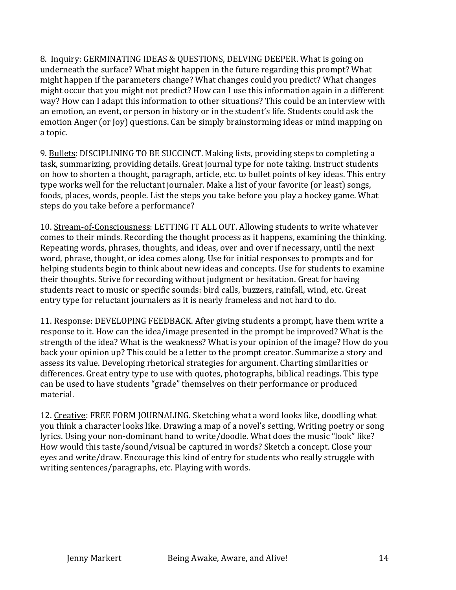8. Inquiry: GERMINATING IDEAS & QUESTIONS, DELVING DEEPER. What is going on underneath the surface? What might happen in the future regarding this prompt? What might happen if the parameters change? What changes could you predict? What changes might occur that you might not predict? How can I use this information again in a different way? How can I adapt this information to other situations? This could be an interview with an emotion, an event, or person in history or in the student's life. Students could ask the emotion Anger (or Joy) questions. Can be simply brainstorming ideas or mind mapping on a topic.

9. Bullets: DISCIPLINING TO BE SUCCINCT. Making lists, providing steps to completing a task, summarizing, providing details. Great journal type for note taking. Instruct students on how to shorten a thought, paragraph, article, etc. to bullet points of key ideas. This entry type works well for the reluctant journaler. Make a list of your favorite (or least) songs, foods, places, words, people. List the steps you take before you play a hockey game. What steps do you take before a performance?

10. Stream-of-Consciousness: LETTING IT ALL OUT. Allowing students to write whatever comes to their minds. Recording the thought process as it happens, examining the thinking. Repeating words, phrases, thoughts, and ideas, over and over if necessary, until the next word, phrase, thought, or idea comes along. Use for initial responses to prompts and for helping students begin to think about new ideas and concepts. Use for students to examine their thoughts. Strive for recording without judgment or hesitation. Great for having students react to music or specific sounds: bird calls, buzzers, rainfall, wind, etc. Great entry type for reluctant journalers as it is nearly frameless and not hard to do.

11. Response: DEVELOPING FEEDBACK. After giving students a prompt, have them write a response to it. How can the idea/image presented in the prompt be improved? What is the strength of the idea? What is the weakness? What is your opinion of the image? How do you back your opinion up? This could be a letter to the prompt creator. Summarize a story and assess its value. Developing rhetorical strategies for argument. Charting similarities or differences. Great entry type to use with quotes, photographs, biblical readings. This type can be used to have students "grade" themselves on their performance or produced material.

12. Creative: FREE FORM JOURNALING. Sketching what a word looks like, doodling what you think a character looks like. Drawing a map of a novel's setting, Writing poetry or song lyrics. Using your non-dominant hand to write/doodle. What does the music "look" like? How would this taste/sound/visual be captured in words? Sketch a concept. Close your eyes and write/draw. Encourage this kind of entry for students who really struggle with writing sentences/paragraphs, etc. Playing with words.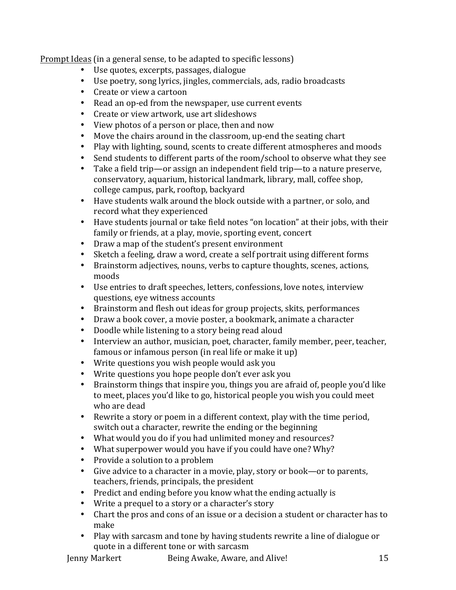Prompt Ideas (in a general sense, to be adapted to specific lessons)

- Use quotes, excerpts, passages, dialogue
- Use poetry, song lyrics, jingles, commercials, ads, radio broadcasts
- Create or view a cartoon
- Read an op-ed from the newspaper, use current events
- Create or view artwork, use art slideshows
- View photos of a person or place, then and now
- Move the chairs around in the classroom, up-end the seating chart
- Play with lighting, sound, scents to create different atmospheres and moods
- Send students to different parts of the room/school to observe what they see
- Take a field trip—or assign an independent field trip—to a nature preserve, conservatory, aquarium, historical landmark, library, mall, coffee shop, college campus, park, rooftop, backyard
- Have students walk around the block outside with a partner, or solo, and record what they experienced
- Have students journal or take field notes "on location" at their jobs, with their family or friends, at a play, movie, sporting event, concert
- Draw a map of the student's present environment
- Sketch a feeling, draw a word, create a self portrait using different forms
- Brainstorm adjectives, nouns, verbs to capture thoughts, scenes, actions, moods
- Use entries to draft speeches, letters, confessions, love notes, interview questions, eye witness accounts
- Brainstorm and flesh out ideas for group projects, skits, performances
- Draw a book cover, a movie poster, a bookmark, animate a character
- Doodle while listening to a story being read aloud
- Interview an author, musician, poet, character, family member, peer, teacher, famous or infamous person (in real life or make it up)
- Write questions you wish people would ask you
- Write questions you hope people don't ever ask you
- Brainstorm things that inspire you, things you are afraid of, people you'd like to meet, places you'd like to go, historical people you wish you could meet who are dead
- Rewrite a story or poem in a different context, play with the time period, switch out a character, rewrite the ending or the beginning
- What would you do if you had unlimited money and resources?
- What superpower would you have if you could have one? Why?
- Provide a solution to a problem
- Give advice to a character in a movie, play, story or book—or to parents, teachers, friends, principals, the president
- Predict and ending before you know what the ending actually is
- Write a prequel to a story or a character's story
- Chart the pros and cons of an issue or a decision a student or character has to make
- Play with sarcasm and tone by having students rewrite a line of dialogue or quote in a different tone or with sarcasm

| Jenny Markert | Being Awake, Aware, and Alive! |  |
|---------------|--------------------------------|--|
|               |                                |  |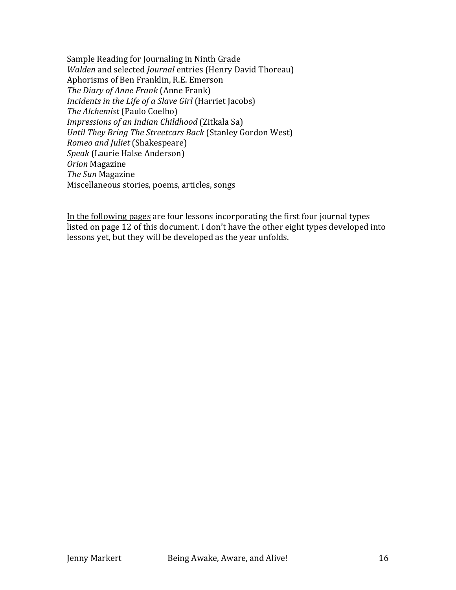Sample Reading for Journaling in Ninth Grade *Walden* and selected *Journal* entries (Henry David Thoreau) Aphorisms of Ben Franklin, R.E. Emerson *The Diary of Anne Frank* (Anne Frank) *Incidents in the Life of a Slave Girl* (Harriet Jacobs) *The Alchemist* (Paulo Coelho) *Impressions of an Indian Childhood* (Zitkala Sa) *Until They Bring The Streetcars Back* (Stanley Gordon West) *Romeo and Juliet* (Shakespeare) **Speak** (Laurie Halse Anderson) *Orion* Magazine *The Sun Magazine* Miscellaneous stories, poems, articles, songs

In the following pages are four lessons incorporating the first four journal types listed on page  $12$  of this document. I don't have the other eight types developed into lessons yet, but they will be developed as the year unfolds.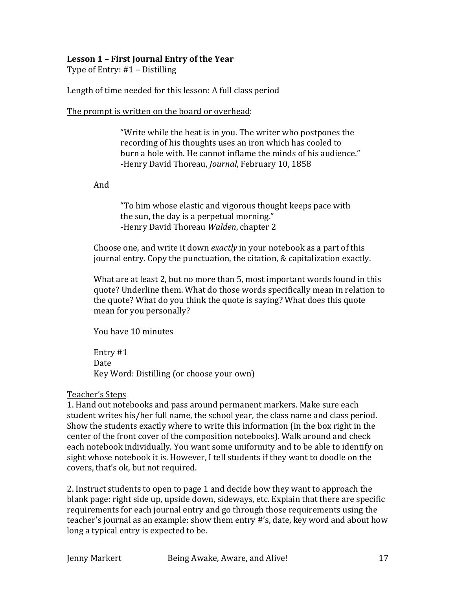## Lesson 1 - First Journal Entry of the Year

Type of Entry:  $#1 -$  Distilling

Length of time needed for this lesson: A full class period

The prompt is written on the board or overhead:

"Write while the heat is in you. The writer who postpones the recording of his thoughts uses an iron which has cooled to burn a hole with. He cannot inflame the minds of his audience." -Henry David Thoreau, *Journal*, February 10, 1858

And 

"To him whose elastic and vigorous thought keeps pace with the sun, the day is a perpetual morning." -Henry David Thoreau *Walden*, chapter 2

Choose one, and write it down *exactly* in your notebook as a part of this journal entry. Copy the punctuation, the citation, & capitalization exactly.

What are at least 2, but no more than 5, most important words found in this quote? Underline them. What do those words specifically mean in relation to the quote? What do you think the quote is saying? What does this quote mean for you personally?

You have 10 minutes

Entry #1 Date Key Word: Distilling (or choose your own)

## Teacher's Steps

1. Hand out notebooks and pass around permanent markers. Make sure each student writes his/her full name, the school year, the class name and class period. Show the students exactly where to write this information (in the box right in the center of the front cover of the composition notebooks). Walk around and check each notebook individually. You want some uniformity and to be able to identify on sight whose notebook it is. However, I tell students if they want to doodle on the covers, that's ok, but not required.

2. Instruct students to open to page 1 and decide how they want to approach the blank page: right side up, upside down, sideways, etc. Explain that there are specific requirements for each journal entry and go through those requirements using the teacher's journal as an example: show them entry #'s, date, key word and about how long a typical entry is expected to be.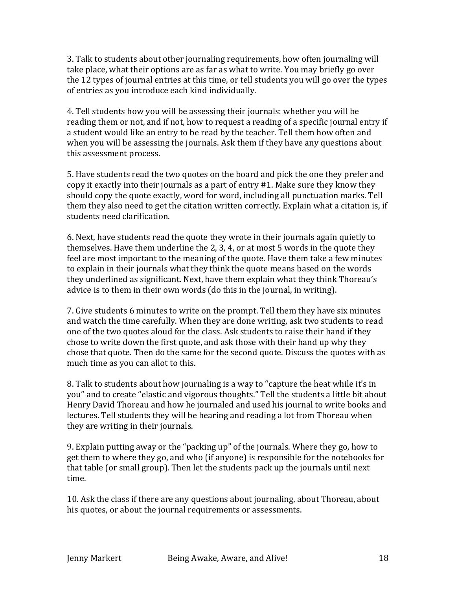3. Talk to students about other journaling requirements, how often journaling will take place, what their options are as far as what to write. You may briefly go over the 12 types of journal entries at this time, or tell students you will go over the types of entries as you introduce each kind individually.

4. Tell students how you will be assessing their journals: whether you will be reading them or not, and if not, how to request a reading of a specific journal entry if a student would like an entry to be read by the teacher. Tell them how often and when you will be assessing the journals. Ask them if they have any questions about this assessment process.

5. Have students read the two quotes on the board and pick the one they prefer and copy it exactly into their journals as a part of entry #1. Make sure they know they should copy the quote exactly, word for word, including all punctuation marks. Tell them they also need to get the citation written correctly. Explain what a citation is, if students need clarification.

6. Next, have students read the quote they wrote in their journals again quietly to themselves. Have them underline the  $2, 3, 4$ , or at most  $5$  words in the quote they feel are most important to the meaning of the quote. Have them take a few minutes to explain in their journals what they think the quote means based on the words they underlined as significant. Next, have them explain what they think Thoreau's advice is to them in their own words (do this in the journal, in writing).

7. Give students 6 minutes to write on the prompt. Tell them they have six minutes and watch the time carefully. When they are done writing, ask two students to read one of the two quotes aloud for the class. Ask students to raise their hand if they chose to write down the first quote, and ask those with their hand up why they chose that quote. Then do the same for the second quote. Discuss the quotes with as much time as you can allot to this.

8. Talk to students about how journaling is a way to "capture the heat while it's in you" and to create "elastic and vigorous thoughts." Tell the students a little bit about Henry David Thoreau and how he journaled and used his journal to write books and lectures. Tell students they will be hearing and reading a lot from Thoreau when they are writing in their journals.

9. Explain putting away or the "packing up" of the journals. Where they go, how to get them to where they go, and who (if anyone) is responsible for the notebooks for that table (or small group). Then let the students pack up the journals until next time.

10. Ask the class if there are any questions about journaling, about Thoreau, about his quotes, or about the journal requirements or assessments.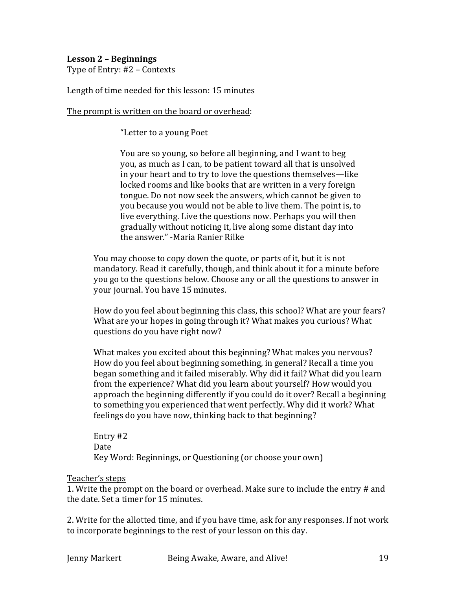## Lesson 2 - Beginnings

Type of Entry: #2 – Contexts

Length of time needed for this lesson: 15 minutes

The prompt is written on the board or overhead:

"Letter to a young Poet

You are so young, so before all beginning, and I want to beg you, as much as I can, to be patient toward all that is unsolved in your heart and to try to love the questions themselves—like locked rooms and like books that are written in a very foreign tongue. Do not now seek the answers, which cannot be given to you because you would not be able to live them. The point is, to live everything. Live the questions now. Perhaps you will then gradually without noticing it, live along some distant day into the answer." -Maria Ranier Rilke

You may choose to copy down the quote, or parts of it, but it is not mandatory. Read it carefully, though, and think about it for a minute before you go to the questions below. Choose any or all the questions to answer in your journal. You have 15 minutes.

How do you feel about beginning this class, this school? What are your fears? What are your hopes in going through it? What makes you curious? What questions do you have right now?

What makes you excited about this beginning? What makes you nervous? How do you feel about beginning something, in general? Recall a time you began something and it failed miserably. Why did it fail? What did you learn from the experience? What did you learn about yourself? How would you approach the beginning differently if you could do it over? Recall a beginning to something you experienced that went perfectly. Why did it work? What feelings do you have now, thinking back to that beginning?

Entry #2 Date Key Word: Beginnings, or Questioning (or choose your own)

#### Teacher's steps

1. Write the prompt on the board or overhead. Make sure to include the entry # and the date. Set a timer for 15 minutes.

2. Write for the allotted time, and if you have time, ask for any responses. If not work to incorporate beginnings to the rest of your lesson on this day.

Jenny Markert Being Awake, Aware, and Alive!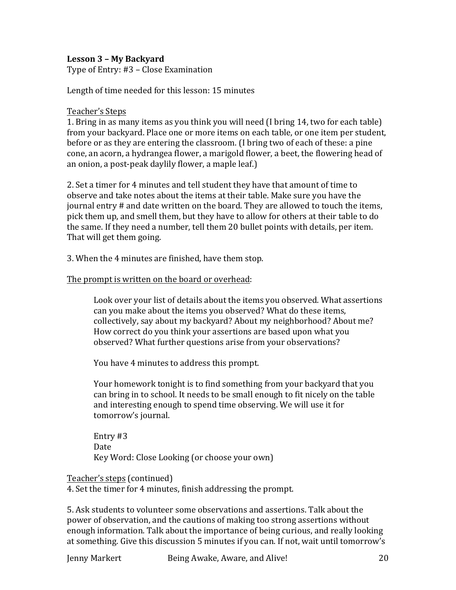## Lesson 3 - My Backyard

Type of Entry: #3 - Close Examination

Length of time needed for this lesson: 15 minutes

#### Teacher's Steps

1. Bring in as many items as you think you will need (I bring 14, two for each table) from your backyard. Place one or more items on each table, or one item per student, before or as they are entering the classroom. (I bring two of each of these: a pine cone, an acorn, a hydrangea flower, a marigold flower, a beet, the flowering head of an onion, a post-peak daylily flower, a maple leaf.)

2. Set a timer for 4 minutes and tell student they have that amount of time to observe and take notes about the items at their table. Make sure you have the  $\mu$  iournal entry  $\#$  and date written on the board. They are allowed to touch the items, pick them up, and smell them, but they have to allow for others at their table to do the same. If they need a number, tell them 20 bullet points with details, per item. That will get them going.

3. When the 4 minutes are finished, have them stop.

#### The prompt is written on the board or overhead:

Look over your list of details about the items you observed. What assertions can you make about the items you observed? What do these items, collectively, say about my backyard? About my neighborhood? About me? How correct do you think your assertions are based upon what you observed? What further questions arise from your observations?

You have 4 minutes to address this prompt.

Your homework tonight is to find something from your backyard that you can bring in to school. It needs to be small enough to fit nicely on the table and interesting enough to spend time observing. We will use it for tomorrow's journal.

Entry #3 Date Key Word: Close Looking (or choose your own)

#### Teacher's steps (continued)

4. Set the timer for 4 minutes, finish addressing the prompt.

5. Ask students to volunteer some observations and assertions. Talk about the power of observation, and the cautions of making too strong assertions without enough information. Talk about the importance of being curious, and really looking at something. Give this discussion 5 minutes if you can. If not, wait until tomorrow's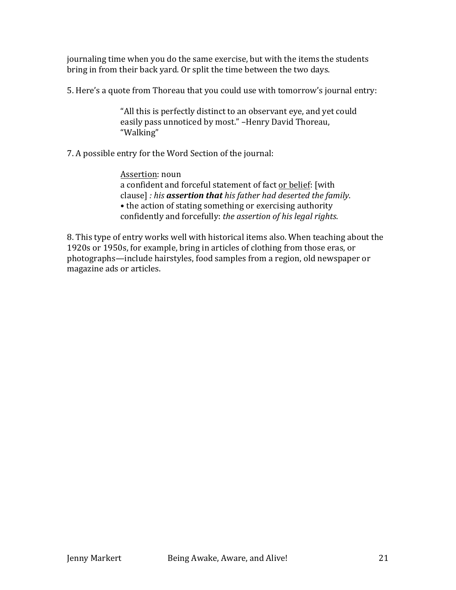journaling time when you do the same exercise, but with the items the students bring in from their back yard. Or split the time between the two days.

5. Here's a quote from Thoreau that you could use with tomorrow's journal entry:

"All this is perfectly distinct to an observant eye, and yet could easily pass unnoticed by most." -Henry David Thoreau, "Walking"

7. A possible entry for the Word Section of the journal:

Assertion: noun a confident and forceful statement of fact or belief: [with clause] : his **assertion that** his father had deserted the family. • the action of stating something or exercising authority confidently and forcefully: *the assertion of his legal rights*.

8. This type of entry works well with historical items also. When teaching about the 1920s or 1950s, for example, bring in articles of clothing from those eras, or photographs—include hairstyles, food samples from a region, old newspaper or magazine ads or articles.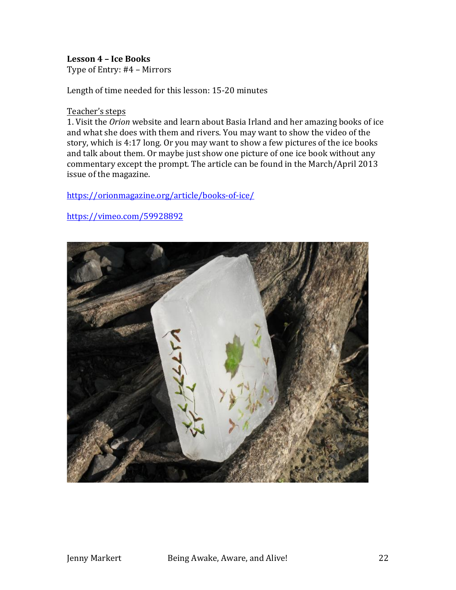#### Lesson 4 - Ice Books

Type of Entry: #4 – Mirrors

Length of time needed for this lesson: 15-20 minutes

#### Teacher's steps

1. Visit the *Orion* website and learn about Basia Irland and her amazing books of ice and what she does with them and rivers. You may want to show the video of the story, which is 4:17 long. Or you may want to show a few pictures of the ice books and talk about them. Or maybe just show one picture of one ice book without any commentary except the prompt. The article can be found in the March/April 2013 issue of the magazine.

#### https://orionmagazine.org/article/books-of-ice/

# https://vimeo.com/59928892